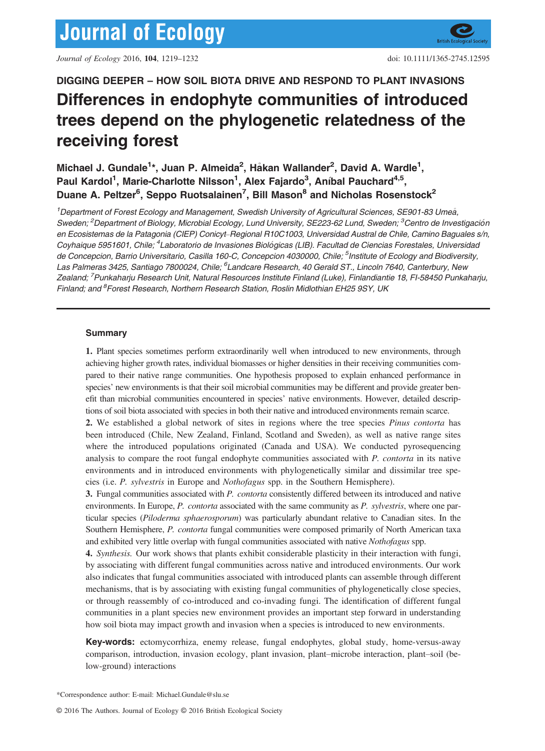

# DIGGING DEEPER – HOW SOIL BIOTA DRIVE AND RESPOND TO PLANT INVASIONS Differences in endophyte communities of introduced trees depend on the phylogenetic relatedness of the receiving forest

Michael J. Gundale<sup>1\*</sup>, Juan P. Almeida<sup>2</sup>, Håkan Wallander<sup>2</sup>, David A. Wardle<sup>1</sup>, Paul Kardol<sup>1</sup>, Marie-Charlotte Nilsson<sup>1</sup>, Alex Fajardo<sup>3</sup>, Aníbal Pauchard<sup>4,5</sup>, Duane A. Peltzer<sup>6</sup>, Seppo Ruotsalainen<sup>7</sup>, Bill Mason<sup>8</sup> and Nicholas Rosenstock<sup>2</sup>

<sup>1</sup> Department of Forest Ecology and Management, Swedish University of Agricultural Sciences, SE901-83 Umea, Sweden; <sup>2</sup>Department of Biology, Microbial Ecology, Lund University, SE223-62 Lund, Sweden; <sup>3</sup>Centro de Investigación en Ecosistemas de la Patagonia (CIEP) Conicyt–Regional R10C1003, Universidad Austral de Chile, Camino Baguales s/n, Coyhaique 5951601, Chile; <sup>4</sup>Laboratorio de Invasiones Biológicas (LIB). Facultad de Ciencias Forestales, Universidad de Concepcion, Barrio Universitario, Casilla 160-C, Concepcion 4030000, Chile; <sup>5</sup>Institute of Ecology and Biodiversity, Las Palmeras 3425, Santiago 7800024, Chile; <sup>6</sup>Landcare Research, 40 Gerald ST., Lincoln 7640, Canterbury, New Zealand; <sup>7</sup>Punkaharju Research Unit, Natural Resources Institute Finland (Luke), Finlandiantie 18, FI-58450 Punkaharju, Finland; and <sup>8</sup>Forest Research, Northern Research Station, Roslin Midlothian EH25 9SY, UK

# **Summary**

1. Plant species sometimes perform extraordinarily well when introduced to new environments, through achieving higher growth rates, individual biomasses or higher densities in their receiving communities compared to their native range communities. One hypothesis proposed to explain enhanced performance in species' new environments is that their soil microbial communities may be different and provide greater benefit than microbial communities encountered in species' native environments. However, detailed descriptions of soil biota associated with species in both their native and introduced environments remain scarce.

2. We established a global network of sites in regions where the tree species *Pinus contorta* has been introduced (Chile, New Zealand, Finland, Scotland and Sweden), as well as native range sites where the introduced populations originated (Canada and USA). We conducted pyrosequencing analysis to compare the root fungal endophyte communities associated with P. contorta in its native environments and in introduced environments with phylogenetically similar and dissimilar tree species (i.e. P. sylvestris in Europe and Nothofagus spp. in the Southern Hemisphere).

3. Fungal communities associated with P. contorta consistently differed between its introduced and native environments. In Europe, P. contorta associated with the same community as P. sylvestris, where one particular species (Piloderma sphaerosporum) was particularly abundant relative to Canadian sites. In the Southern Hemisphere, P. contorta fungal communities were composed primarily of North American taxa and exhibited very little overlap with fungal communities associated with native Nothofagus spp.

4. Synthesis. Our work shows that plants exhibit considerable plasticity in their interaction with fungi, by associating with different fungal communities across native and introduced environments. Our work also indicates that fungal communities associated with introduced plants can assemble through different mechanisms, that is by associating with existing fungal communities of phylogenetically close species, or through reassembly of co-introduced and co-invading fungi. The identification of different fungal communities in a plant species new environment provides an important step forward in understanding how soil biota may impact growth and invasion when a species is introduced to new environments.

Key-words: ectomycorrhiza, enemy release, fungal endophytes, global study, home-versus-away comparison, introduction, invasion ecology, plant invasion, plant–microbe interaction, plant–soil (below-ground) interactions

\*Correspondence author: E-mail: Michael.Gundale@slu.se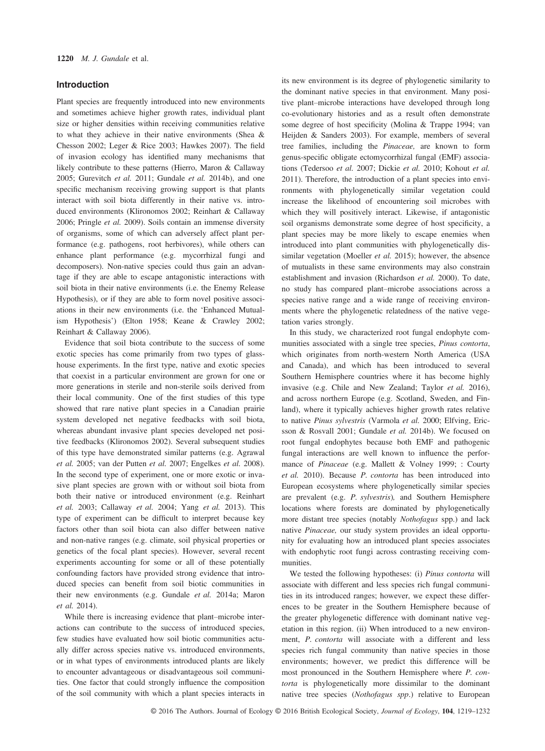#### Introduction

Plant species are frequently introduced into new environments and sometimes achieve higher growth rates, individual plant size or higher densities within receiving communities relative to what they achieve in their native environments (Shea & Chesson 2002; Leger & Rice 2003; Hawkes 2007). The field of invasion ecology has identified many mechanisms that likely contribute to these patterns (Hierro, Maron & Callaway 2005; Gurevitch et al. 2011; Gundale et al. 2014b), and one specific mechanism receiving growing support is that plants interact with soil biota differently in their native vs. introduced environments (Klironomos 2002; Reinhart & Callaway 2006; Pringle et al. 2009). Soils contain an immense diversity of organisms, some of which can adversely affect plant performance (e.g. pathogens, root herbivores), while others can enhance plant performance (e.g. mycorrhizal fungi and decomposers). Non-native species could thus gain an advantage if they are able to escape antagonistic interactions with soil biota in their native environments (i.e. the Enemy Release Hypothesis), or if they are able to form novel positive associations in their new environments (i.e. the 'Enhanced Mutualism Hypothesis') (Elton 1958; Keane & Crawley 2002; Reinhart & Callaway 2006).

Evidence that soil biota contribute to the success of some exotic species has come primarily from two types of glasshouse experiments. In the first type, native and exotic species that coexist in a particular environment are grown for one or more generations in sterile and non-sterile soils derived from their local community. One of the first studies of this type showed that rare native plant species in a Canadian prairie system developed net negative feedbacks with soil biota, whereas abundant invasive plant species developed net positive feedbacks (Klironomos 2002). Several subsequent studies of this type have demonstrated similar patterns (e.g. Agrawal et al. 2005; van der Putten et al. 2007; Engelkes et al. 2008). In the second type of experiment, one or more exotic or invasive plant species are grown with or without soil biota from both their native or introduced environment (e.g. Reinhart et al. 2003; Callaway et al. 2004; Yang et al. 2013). This type of experiment can be difficult to interpret because key factors other than soil biota can also differ between native and non-native ranges (e.g. climate, soil physical properties or genetics of the focal plant species). However, several recent experiments accounting for some or all of these potentially confounding factors have provided strong evidence that introduced species can benefit from soil biotic communities in their new environments (e.g. Gundale et al. 2014a; Maron et al. 2014).

While there is increasing evidence that plant–microbe interactions can contribute to the success of introduced species, few studies have evaluated how soil biotic communities actually differ across species native vs. introduced environments, or in what types of environments introduced plants are likely to encounter advantageous or disadvantageous soil communities. One factor that could strongly influence the composition of the soil community with which a plant species interacts in its new environment is its degree of phylogenetic similarity to the dominant native species in that environment. Many positive plant–microbe interactions have developed through long co-evolutionary histories and as a result often demonstrate some degree of host specificity (Molina & Trappe 1994; van Heijden & Sanders 2003). For example, members of several tree families, including the Pinaceae, are known to form genus-specific obligate ectomycorrhizal fungal (EMF) associations (Tedersoo et al. 2007; Dickie et al. 2010; Kohout et al. 2011). Therefore, the introduction of a plant species into environments with phylogenetically similar vegetation could increase the likelihood of encountering soil microbes with which they will positively interact. Likewise, if antagonistic soil organisms demonstrate some degree of host specificity, a plant species may be more likely to escape enemies when introduced into plant communities with phylogenetically dissimilar vegetation (Moeller *et al.* 2015); however, the absence of mutualists in these same environments may also constrain establishment and invasion (Richardson et al. 2000). To date, no study has compared plant–microbe associations across a species native range and a wide range of receiving environments where the phylogenetic relatedness of the native vegetation varies strongly.

In this study, we characterized root fungal endophyte communities associated with a single tree species, Pinus contorta, which originates from north-western North America (USA and Canada), and which has been introduced to several Southern Hemisphere countries where it has become highly invasive (e.g. Chile and New Zealand; Taylor et al. 2016), and across northern Europe (e.g. Scotland, Sweden, and Finland), where it typically achieves higher growth rates relative to native Pinus sylvestris (Varmola et al. 2000; Elfving, Ericsson & Rosvall 2001; Gundale et al. 2014b). We focused on root fungal endophytes because both EMF and pathogenic fungal interactions are well known to influence the performance of Pinaceae (e.g. Mallett & Volney 1999; : Courty et al. 2010). Because P. contorta has been introduced into European ecosystems where phylogenetically similar species are prevalent (e.g. P. sylvestris), and Southern Hemisphere locations where forests are dominated by phylogenetically more distant tree species (notably Nothofagus spp.) and lack native Pinaceae, our study system provides an ideal opportunity for evaluating how an introduced plant species associates with endophytic root fungi across contrasting receiving communities.

We tested the following hypotheses: (i) Pinus contorta will associate with different and less species rich fungal communities in its introduced ranges; however, we expect these differences to be greater in the Southern Hemisphere because of the greater phylogenetic difference with dominant native vegetation in this region. (ii) When introduced to a new environment, P. contorta will associate with a different and less species rich fungal community than native species in those environments; however, we predict this difference will be most pronounced in the Southern Hemisphere where P. contorta is phylogenetically more dissimilar to the dominant native tree species (Nothofagus spp.) relative to European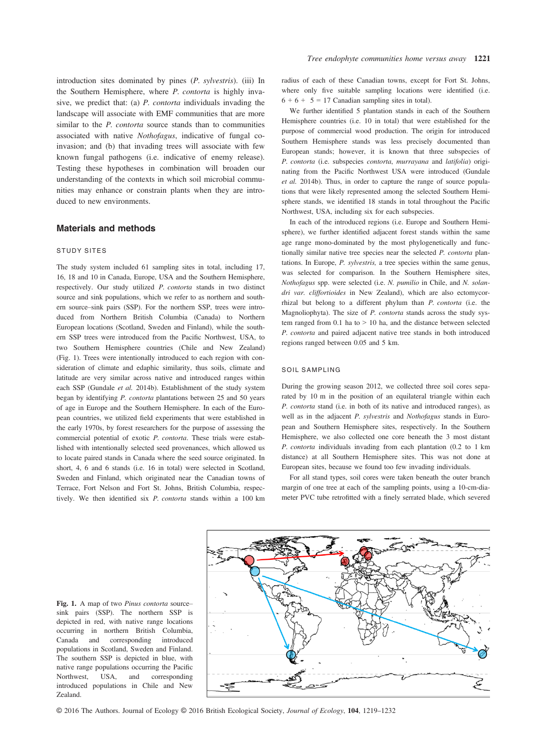introduction sites dominated by pines (P. sylvestris). (iii) In the Southern Hemisphere, where P. contorta is highly invasive, we predict that: (a) P. contorta individuals invading the landscape will associate with EMF communities that are more similar to the *P. contorta* source stands than to communities associated with native Nothofagus, indicative of fungal coinvasion; and (b) that invading trees will associate with few known fungal pathogens (i.e. indicative of enemy release). Testing these hypotheses in combination will broaden our understanding of the contexts in which soil microbial communities may enhance or constrain plants when they are introduced to new environments.

# Materials and methods

#### STUDY SITES

The study system included 61 sampling sites in total, including 17, 16, 18 and 10 in Canada, Europe, USA and the Southern Hemisphere, respectively. Our study utilized P. contorta stands in two distinct source and sink populations, which we refer to as northern and southern source–sink pairs (SSP). For the northern SSP, trees were introduced from Northern British Columbia (Canada) to Northern European locations (Scotland, Sweden and Finland), while the southern SSP trees were introduced from the Pacific Northwest, USA, to two Southern Hemisphere countries (Chile and New Zealand) (Fig. 1). Trees were intentionally introduced to each region with consideration of climate and edaphic similarity, thus soils, climate and latitude are very similar across native and introduced ranges within each SSP (Gundale et al. 2014b). Establishment of the study system began by identifying P. contorta plantations between 25 and 50 years of age in Europe and the Southern Hemisphere. In each of the European countries, we utilized field experiments that were established in the early 1970s, by forest researchers for the purpose of assessing the commercial potential of exotic P. contorta. These trials were established with intentionally selected seed provenances, which allowed us to locate paired stands in Canada where the seed source originated. In short, 4, 6 and 6 stands (i.e. 16 in total) were selected in Scotland, Sweden and Finland, which originated near the Canadian towns of Terrace, Fort Nelson and Fort St. Johns, British Columbia, respectively. We then identified six P. contorta stands within a 100 km radius of each of these Canadian towns, except for Fort St. Johns, where only five suitable sampling locations were identified (i.e.  $6 + 6 + 5 = 17$  Canadian sampling sites in total).

We further identified 5 plantation stands in each of the Southern Hemisphere countries (i.e. 10 in total) that were established for the purpose of commercial wood production. The origin for introduced Southern Hemisphere stands was less precisely documented than European stands; however, it is known that three subspecies of P. contorta (i.e. subspecies contorta, murrayana and latifolia) originating from the Pacific Northwest USA were introduced (Gundale et al. 2014b). Thus, in order to capture the range of source populations that were likely represented among the selected Southern Hemisphere stands, we identified 18 stands in total throughout the Pacific Northwest, USA, including six for each subspecies.

In each of the introduced regions (i.e. Europe and Southern Hemisphere), we further identified adjacent forest stands within the same age range mono-dominated by the most phylogenetically and functionally similar native tree species near the selected P. contorta plantations. In Europe, P. sylvestris, a tree species within the same genus, was selected for comparison. In the Southern Hemisphere sites, Nothofagus spp. were selected (i.e. N. pumilio in Chile, and N. solandri var. cliffortioides in New Zealand), which are also ectomycorrhizal but belong to a different phylum than P. contorta (i.e. the Magnoliophyta). The size of P. contorta stands across the study system ranged from  $0.1$  ha to  $> 10$  ha, and the distance between selected P. contorta and paired adjacent native tree stands in both introduced regions ranged between 0.05 and 5 km.

#### SOIL SAMPLING

During the growing season 2012, we collected three soil cores separated by 10 m in the position of an equilateral triangle within each P. contorta stand (i.e. in both of its native and introduced ranges), as well as in the adjacent P. sylvestris and Nothofagus stands in European and Southern Hemisphere sites, respectively. In the Southern Hemisphere, we also collected one core beneath the 3 most distant P. contorta individuals invading from each plantation (0.2 to 1 km distance) at all Southern Hemisphere sites. This was not done at European sites, because we found too few invading individuals.

For all stand types, soil cores were taken beneath the outer branch margin of one tree at each of the sampling points, using a 10-cm-diameter PVC tube retrofitted with a finely serrated blade, which severed

Fig. 1. A map of two Pinus contorta sourcesink pairs (SSP). The northern SSP is depicted in red, with native range locations occurring in northern British Columbia, Canada and corresponding introduced populations in Scotland, Sweden and Finland. The southern SSP is depicted in blue, with native range populations occurring the Pacific Northwest, USA, and corresponding introduced populations in Chile and New Zealand.



© 2016 The Authors. Journal of Ecology © 2016 British Ecological Society, Journal of Ecology, 104, 1219–1232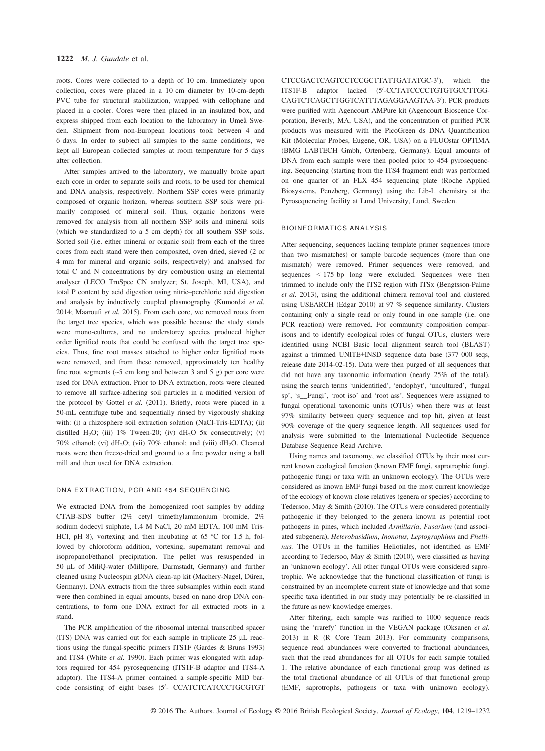roots. Cores were collected to a depth of 10 cm. Immediately upon collection, cores were placed in a 10 cm diameter by 10-cm-depth PVC tube for structural stabilization, wrapped with cellophane and placed in a cooler. Cores were then placed in an insulated box, and express shipped from each location to the laboratory in Umeå Sweden. Shipment from non-European locations took between 4 and 6 days. In order to subject all samples to the same conditions, we kept all European collected samples at room temperature for 5 days after collection.

After samples arrived to the laboratory, we manually broke apart each core in order to separate soils and roots, to be used for chemical and DNA analysis, respectively. Northern SSP cores were primarily composed of organic horizon, whereas southern SSP soils were primarily composed of mineral soil. Thus, organic horizons were removed for analysis from all northern SSP soils and mineral soils (which we standardized to a 5 cm depth) for all southern SSP soils. Sorted soil (i.e. either mineral or organic soil) from each of the three cores from each stand were then composited, oven dried, sieved (2 or 4 mm for mineral and organic soils, respectively) and analysed for total C and N concentrations by dry combustion using an elemental analyser (LECO TruSpec CN analyzer; St. Joseph, MI, USA), and total P content by acid digestion using nitric–perchloric acid digestion and analysis by inductively coupled plasmography (Kumordzi et al. 2014; Maaroufi et al. 2015). From each core, we removed roots from the target tree species, which was possible because the study stands were mono-cultures, and no understorey species produced higher order lignified roots that could be confused with the target tree species. Thus, fine root masses attached to higher order lignified roots were removed, and from these removed, approximately ten healthy fine root segments ( $\sim$ 5 cm long and between 3 and 5 g) per core were used for DNA extraction. Prior to DNA extraction, roots were cleaned to remove all surface-adhering soil particles in a modified version of the protocol by Gottel et al. (2011). Briefly, roots were placed in a 50-mL centrifuge tube and sequentially rinsed by vigorously shaking with: (i) a rhizosphere soil extraction solution (NaCl-Tris-EDTA); (ii) distilled H<sub>2</sub>O; (iii) 1% Tween-20; (iv)  $dH_2O$  5x consecutively; (v) 70% ethanol; (vi)  $dH_2O$ ; (vii) 70% ethanol; and (viii)  $dH_2O$ . Cleaned roots were then freeze-dried and ground to a fine powder using a ball mill and then used for DNA extraction.

#### DNA EXTRACTION, PCR AND 454 SEQUENCING

We extracted DNA from the homogenized root samples by adding CTAB-SDS buffer (2% cetyl trimethylammonium bromide, 2% sodium dodecyl sulphate, 1.4 M NaCl, 20 mM EDTA, 100 mM Tris-HCl, pH 8), vortexing and then incubating at  $65^{\circ}$ C for 1.5 h, followed by chloroform addition, vortexing, supernatant removal and isopropanol/ethanol precipitation. The pellet was resuspended in 50 µL of MiliQ-water (Millipore, Darmstadt, Germany) and further cleaned using Nucleospin gDNA clean-up kit (Machery-Nagel, Düren, Germany). DNA extracts from the three subsamples within each stand were then combined in equal amounts, based on nano drop DNA concentrations, to form one DNA extract for all extracted roots in a stand.

The PCR amplification of the ribosomal internal transcribed spacer (ITS) DNA was carried out for each sample in triplicate  $25 \mu L$  reactions using the fungal-specific primers ITS1F (Gardes & Bruns 1993) and ITS4 (White et al. 1990). Each primer was elongated with adaptors required for 454 pyrosequencing (ITS1F-B adaptor and ITS4-A adaptor). The ITS4-A primer contained a sample-specific MID barcode consisting of eight bases (5'- CCATCTCATCCCTGCGTGT

CTCCGACTCAGTCCTCCGCTTATTGATATGC-3'), which the ITS1F-B adaptor lacked (5'-CCTATCCCCTGTGTGCCTTGG-CAGTCTCAGCTTGGTCATTTAGAGGAAGTAA-3'). PCR products were purified with Agencourt AMPure kit (Agencourt Bioscence Corporation, Beverly, MA, USA), and the concentration of purified PCR products was measured with the PicoGreen ds DNA Quantification Kit (Molecular Probes, Eugene, OR, USA) on a FLUOstar OPTIMA (BMG LABTECH Gmbh, Ortenberg, Germany). Equal amounts of DNA from each sample were then pooled prior to 454 pyrosequencing. Sequencing (starting from the ITS4 fragment end) was performed on one quarter of an FLX 454 sequencing plate (Roche Applied Biosystems, Penzberg, Germany) using the Lib-L chemistry at the Pyrosequencing facility at Lund University, Lund, Sweden.

#### BIOINFORMATICS ANALYSIS

After sequencing, sequences lacking template primer sequences (more than two mismatches) or sample barcode sequences (more than one mismatch) were removed. Primer sequences were removed, and sequences < 175 bp long were excluded. Sequences were then trimmed to include only the ITS2 region with ITSx (Bengtsson-Palme et al. 2013), using the additional chimera removal tool and clustered using USEARCH (Edgar 2010) at 97 % sequence similarity. Clusters containing only a single read or only found in one sample (i.e. one PCR reaction) were removed. For community composition comparisons and to identify ecological roles of fungal OTUs, clusters were identified using NCBI Basic local alignment search tool (BLAST) against a trimmed UNITE+INSD sequence data base (377 000 seqs, release date 2014-02-15). Data were then purged of all sequences that did not have any taxonomic information (nearly 25% of the total), using the search terms 'unidentified', 'endophyt', 'uncultured', 'fungal sp', 's\_\_Fungi', 'root iso' and 'root ass'. Sequences were assigned to fungal operational taxonomic units (OTUs) when there was at least 97% similarity between query sequence and top hit, given at least 90% coverage of the query sequence length. All sequences used for analysis were submitted to the International Nucleotide Sequence Database Sequence Read Archive.

Using names and taxonomy, we classified OTUs by their most current known ecological function (known EMF fungi, saprotrophic fungi, pathogenic fungi or taxa with an unknown ecology). The OTUs were considered as known EMF fungi based on the most current knowledge of the ecology of known close relatives (genera or species) according to Tedersoo, May & Smith (2010). The OTUs were considered potentially pathogenic if they belonged to the genera known as potential root pathogens in pines, which included Armillaria, Fusarium (and associated subgenera), Heterobasidium, Inonotus, Leptographium and Phellinus. The OTUs in the families Heliotiales, not identified as EMF according to Tedersoo, May & Smith (2010), were classified as having an 'unknown ecology'. All other fungal OTUs were considered saprotrophic. We acknowledge that the functional classification of fungi is constrained by an incomplete current state of knowledge and that some specific taxa identified in our study may potentially be re-classified in the future as new knowledge emerges.

After filtering, each sample was rarified to 1000 sequence reads using the 'rrarefy' function in the VEGAN package (Oksanen et al. 2013) in R (R Core Team 2013). For community comparisons, sequence read abundances were converted to fractional abundances, such that the read abundances for all OTUs for each sample totalled 1. The relative abundance of each functional group was defined as the total fractional abundance of all OTUs of that functional group (EMF, saprotrophs, pathogens or taxa with unknown ecology).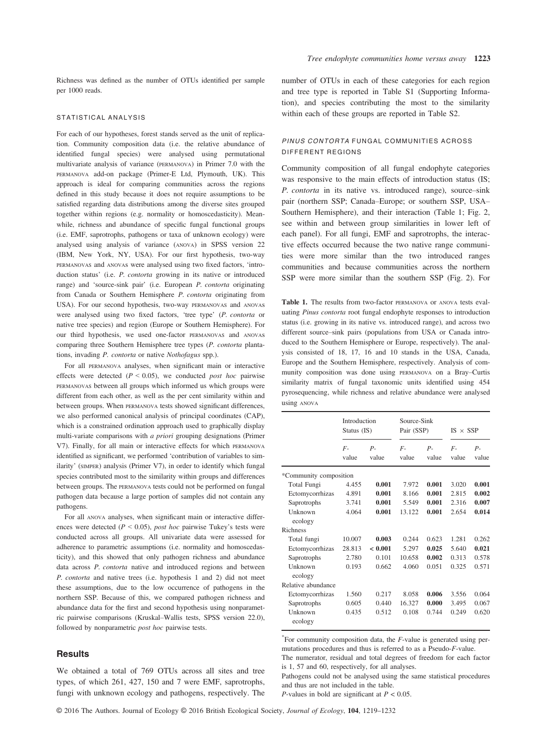Richness was defined as the number of OTUs identified per sample per 1000 reads.

#### STATISTICAL ANALYSIS

For each of our hypotheses, forest stands served as the unit of replication. Community composition data (i.e. the relative abundance of identified fungal species) were analysed using permutational multivariate analysis of variance (PERMANOVA) in Primer 7.0 with the PERMANOVA add-on package (Primer-E Ltd, Plymouth, UK). This approach is ideal for comparing communities across the regions defined in this study because it does not require assumptions to be satisfied regarding data distributions among the diverse sites grouped together within regions (e.g. normality or homoscedasticity). Meanwhile, richness and abundance of specific fungal functional groups (i.e. EMF, saprotrophs, pathogens or taxa of unknown ecology) were analysed using analysis of variance (ANOVA) in SPSS version 22 (IBM, New York, NY, USA). For our first hypothesis, two-way PERMANOVAS and ANOVAs were analysed using two fixed factors, 'introduction status' (i.e. P. contorta growing in its native or introduced range) and 'source-sink pair' (i.e. European P. contorta originating from Canada or Southern Hemisphere P. contorta originating from USA). For our second hypothesis, two-way PERMANOVAS and ANOVAs were analysed using two fixed factors, 'tree type' (P. contorta or native tree species) and region (Europe or Southern Hemisphere). For our third hypothesis, we used one-factor PERMANOVAS and ANOVAs comparing three Southern Hemisphere tree types (P. contorta plantations, invading P. contorta or native Nothofagus spp.).

For all PERMANOVA analyses, when significant main or interactive effects were detected ( $P \le 0.05$ ), we conducted *post hoc* pairwise PERMANOVAS between all groups which informed us which groups were different from each other, as well as the per cent similarity within and between groups. When PERMANOVA tests showed significant differences, we also performed canonical analysis of principal coordinates (CAP), which is a constrained ordination approach used to graphically display multi-variate comparisons with a priori grouping designations (Primer V7). Finally, for all main or interactive effects for which PERMANOVA identified as significant, we performed 'contribution of variables to similarity' (SIMPER) analysis (Primer V7), in order to identify which fungal species contributed most to the similarity within groups and differences between groups. The PERMANOVA tests could not be performed on fungal pathogen data because a large portion of samples did not contain any pathogens.

For all ANOVA analyses, when significant main or interactive differences were detected ( $P < 0.05$ ), post hoc pairwise Tukey's tests were conducted across all groups. All univariate data were assessed for adherence to parametric assumptions (i.e. normality and homoscedasticity), and this showed that only pathogen richness and abundance data across P. contorta native and introduced regions and between P. contorta and native trees (i.e. hypothesis 1 and 2) did not meet these assumptions, due to the low occurrence of pathogens in the northern SSP. Because of this, we compared pathogen richness and abundance data for the first and second hypothesis using nonparametric pairwise comparisons (Kruskal–Wallis tests, SPSS version 22.0), followed by nonparametric *post hoc* pairwise tests.

# **Results**

We obtained a total of 769 OTUs across all sites and tree types, of which 261, 427, 150 and 7 were EMF, saprotrophs, fungi with unknown ecology and pathogens, respectively. The number of OTUs in each of these categories for each region and tree type is reported in Table S1 (Supporting Information), and species contributing the most to the similarity within each of these groups are reported in Table S2.

# PINUS CONTORTA FUNGAL COMMUNITIES ACROSS DIFFERENT REGIONS

Community composition of all fungal endophyte categories was responsive to the main effects of introduction status (IS; P. contorta in its native vs. introduced range), source–sink pair (northern SSP; Canada–Europe; or southern SSP, USA– Southern Hemisphere), and their interaction (Table 1; Fig. 2, see within and between group similarities in lower left of each panel). For all fungi, EMF and saprotrophs, the interactive effects occurred because the two native range communities were more similar than the two introduced ranges communities and because communities across the northern SSP were more similar than the southern SSP (Fig. 2). For

Table 1. The results from two-factor PERMANOVA or ANOVA tests evaluating Pinus contorta root fungal endophyte responses to introduction status (i.e. growing in its native vs. introduced range), and across two different source–sink pairs (populations from USA or Canada introduced to the Southern Hemisphere or Europe, respectively). The analysis consisted of 18, 17, 16 and 10 stands in the USA, Canada, Europe and the Southern Hemisphere, respectively. Analysis of community composition was done using PERMANOVA on a Bray–Curtis similarity matrix of fungal taxonomic units identified using 454 pyrosequencing, while richness and relative abundance were analysed using ANOVA

|                        | Introduction<br>Status (IS) |                  | Source-Sink<br>Pair (SSP) |                  | $IS \times SSP$ |                |
|------------------------|-----------------------------|------------------|---------------------------|------------------|-----------------|----------------|
|                        | $F -$<br>value              | $P_{-}$<br>value | $F -$<br>value            | $P_{-}$<br>value | $F -$<br>value  | $P -$<br>value |
| *Community composition |                             |                  |                           |                  |                 |                |
| Total Fungi            | 4.455                       | 0.001            | 7.972                     | 0.001            | 3.020           | 0.001          |
| Ectomycorrhizas        | 4.891                       | 0.001            | 8.166                     | 0.001            | 2.815           | 0.002          |
| Saprotrophs            | 3.741                       | 0.001            | 5.549                     | 0.001            | 2.316           | 0.007          |
| Unknown<br>ecology     | 4.064                       | 0.001            | 13.122                    | 0.001            | 2.654           | 0.014          |
| Richness               |                             |                  |                           |                  |                 |                |
| Total fungi            | 10.007                      | 0.003            | 0.244                     | 0.623            | 1.281           | 0.262          |
| Ectomycorrhizas        | 28.813                      | < 0.001          | 5.297                     | 0.025            | 5.640           | 0.021          |
| Saprotrophs            | 2.780                       | 0.101            | 10.658                    | 0.002            | 0.313           | 0.578          |
| Unknown<br>ecology     | 0.193                       | 0.662            | 4.060                     | 0.051            | 0.325           | 0.571          |
| Relative abundance     |                             |                  |                           |                  |                 |                |
| Ectomycorrhizas        | 1.560                       | 0.217            | 8.058                     | 0.006            | 3.556           | 0.064          |
| Saprotrophs            | 0.605                       | 0.440            | 16.327                    | 0.000            | 3.495           | 0.067          |
| Unknown<br>ecology     | 0.435                       | 0.512            | 0.108                     | 0.744            | 0.249           | 0.620          |

\* For community composition data, the F-value is generated using permutations procedures and thus is referred to as a Pseudo-F-value.

The numerator, residual and total degrees of freedom for each factor is 1, 57 and 60, respectively, for all analyses.

Pathogens could not be analysed using the same statistical procedures and thus are not included in the table.

*P*-values in bold are significant at  $P < 0.05$ .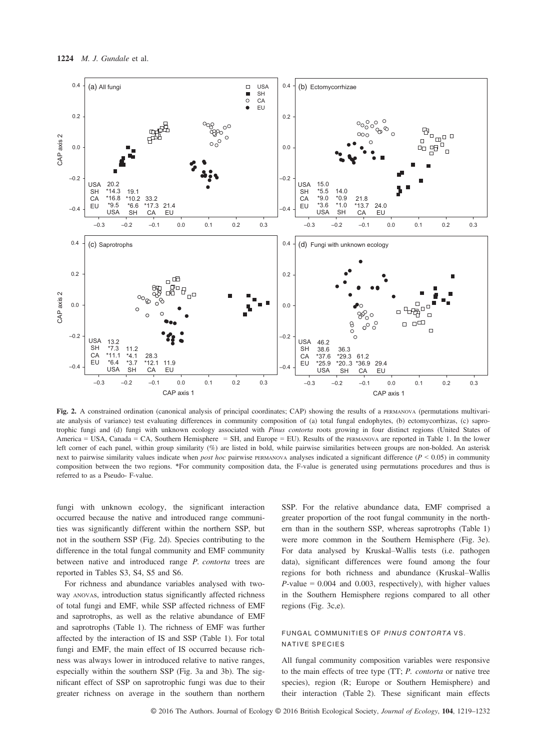

Fig. 2. A constrained ordination (canonical analysis of principal coordinates; CAP) showing the results of a PERMANOVA (permutations multivariate analysis of variance) test evaluating differences in community composition of (a) total fungal endophytes, (b) ectomycorrhizas, (c) saprotrophic fungi and (d) fungi with unknown ecology associated with Pinus contorta roots growing in four distinct regions (United States of America = USA, Canada = CA, Southern Hemisphere = SH, and Europe = EU). Results of the PERMANOVA are reported in Table 1. In the lower left corner of each panel, within group similarity (%) are listed in bold, while pairwise similarities between groups are non-bolded. An asterisk next to pairwise similarity values indicate when *post hoc* pairwise PERMANOVA analyses indicated a significant difference ( $P < 0.05$ ) in community composition between the two regions. \*For community composition data, the F-value is generated using permutations procedures and thus is referred to as a Pseudo- F-value.

fungi with unknown ecology, the significant interaction occurred because the native and introduced range communities was significantly different within the northern SSP, but not in the southern SSP (Fig. 2d). Species contributing to the difference in the total fungal community and EMF community between native and introduced range *P. contorta* trees are reported in Tables S3, S4, S5 and S6.

For richness and abundance variables analysed with twoway ANOVAs, introduction status significantly affected richness of total fungi and EMF, while SSP affected richness of EMF and saprotrophs, as well as the relative abundance of EMF and saprotrophs (Table 1). The richness of EMF was further affected by the interaction of IS and SSP (Table 1). For total fungi and EMF, the main effect of IS occurred because richness was always lower in introduced relative to native ranges, especially within the southern SSP (Fig. 3a and 3b). The significant effect of SSP on saprotrophic fungi was due to their greater richness on average in the southern than northern SSP. For the relative abundance data, EMF comprised a greater proportion of the root fungal community in the northern than in the southern SSP, whereas saprotrophs (Table 1) were more common in the Southern Hemisphere (Fig. 3e). For data analysed by Kruskal–Wallis tests (i.e. pathogen data), significant differences were found among the four regions for both richness and abundance (Kruskal–Wallis  $P$ -value = 0.004 and 0.003, respectively), with higher values in the Southern Hemisphere regions compared to all other regions (Fig. 3c,e).

# FUNGAL COMMUNITIES OF PINUS CONTORTA VS. NATIVE SPECIES

All fungal community composition variables were responsive to the main effects of tree type (TT; P. contorta or native tree species), region (R; Europe or Southern Hemisphere) and their interaction (Table 2). These significant main effects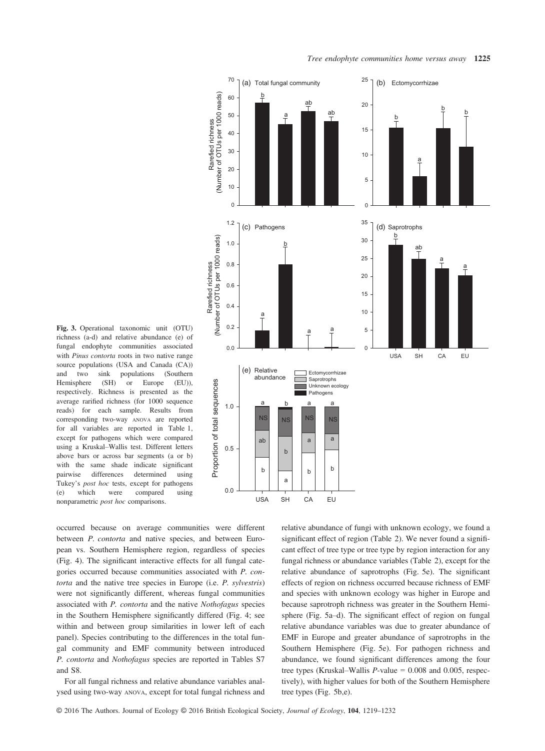

richness (a-d) and relative abundance (e) of fungal endophyte communities associated with Pinus contorta roots in two native range source populations (USA and Canada (CA)) and two sink populations (Southern Hemisphere (SH) or Europe (EU)), respectively. Richness is presented as the average rarified richness (for 1000 sequence reads) for each sample. Results from corresponding two-way ANOVA are reported for all variables are reported in Table 1, except for pathogens which were compared using a Kruskal–Wallis test. Different letters above bars or across bar segments (a or b) with the same shade indicate significant pairwise differences determined using Tukey's *post hoc* tests, except for pathogens (e) which were compared using nonparametric post hoc comparisons.

Fig. 3. Operational taxonomic unit (OTU)

occurred because on average communities were different between P. contorta and native species, and between European vs. Southern Hemisphere region, regardless of species (Fig. 4). The significant interactive effects for all fungal categories occurred because communities associated with P. contorta and the native tree species in Europe (i.e. P. sylvestris) were not significantly different, whereas fungal communities associated with P. contorta and the native Nothofagus species in the Southern Hemisphere significantly differed (Fig. 4; see within and between group similarities in lower left of each panel). Species contributing to the differences in the total fungal community and EMF community between introduced P. contorta and Nothofagus species are reported in Tables S7 and S8.

For all fungal richness and relative abundance variables analysed using two-way ANOVA, except for total fungal richness and relative abundance of fungi with unknown ecology, we found a significant effect of region (Table 2). We never found a significant effect of tree type or tree type by region interaction for any fungal richness or abundance variables (Table 2), except for the relative abundance of saprotrophs (Fig. 5e). The significant effects of region on richness occurred because richness of EMF and species with unknown ecology was higher in Europe and because saprotroph richness was greater in the Southern Hemisphere (Fig. 5a–d). The significant effect of region on fungal relative abundance variables was due to greater abundance of EMF in Europe and greater abundance of saprotrophs in the Southern Hemisphere (Fig. 5e). For pathogen richness and abundance, we found significant differences among the four tree types (Kruskal–Wallis  $P$ -value = 0.008 and 0.005, respectively), with higher values for both of the Southern Hemisphere tree types (Fig. 5b,e).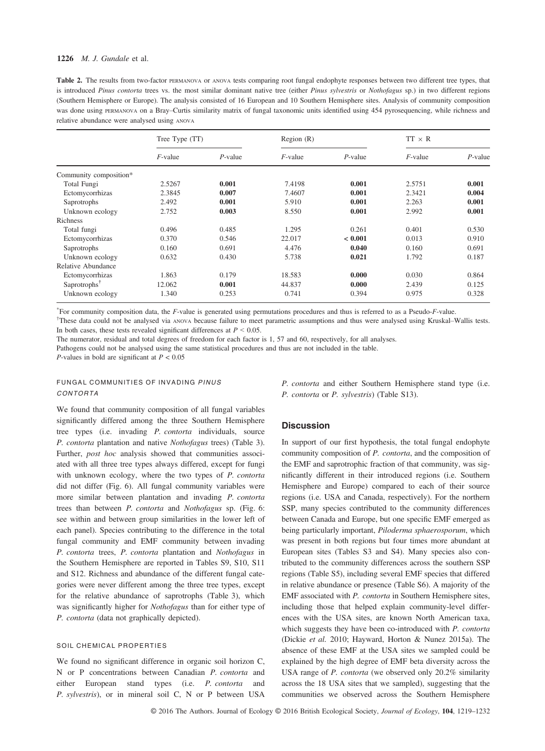Table 2. The results from two-factor PERMANOVA or ANOVA tests comparing root fungal endophyte responses between two different tree types, that is introduced Pinus contorta trees vs. the most similar dominant native tree (either Pinus sylvestris or Nothofagus sp.) in two different regions (Southern Hemisphere or Europe). The analysis consisted of 16 European and 10 Southern Hemisphere sites. Analysis of community composition was done using PERMANOVA on a Bray–Curtis similarity matrix of fungal taxonomic units identified using 454 pyrosequencing, while richness and relative abundance were analysed using ANOVA

|                          | Tree Type (TT) |            | Region $(R)$ |            | $TT \times R$ |            |
|--------------------------|----------------|------------|--------------|------------|---------------|------------|
|                          | $F$ -value     | $P$ -value | $F$ -value   | $P$ -value | $F$ -value    | $P$ -value |
| Community composition*   |                |            |              |            |               |            |
| Total Fungi              | 2.5267         | 0.001      | 7.4198       | 0.001      | 2.5751        | 0.001      |
| Ectomycorrhizas          | 2.3845         | 0.007      | 7.4607       | 0.001      | 2.3421        | 0.004      |
| Saprotrophs              | 2.492          | 0.001      | 5.910        | 0.001      | 2.263         | 0.001      |
| Unknown ecology          | 2.752          | 0.003      | 8.550        | 0.001      | 2.992         | 0.001      |
| Richness                 |                |            |              |            |               |            |
| Total fungi              | 0.496          | 0.485      | 1.295        | 0.261      | 0.401         | 0.530      |
| Ectomycorrhizas          | 0.370          | 0.546      | 22.017       | < 0.001    | 0.013         | 0.910      |
| Saprotrophs              | 0.160          | 0.691      | 4.476        | 0.040      | 0.160         | 0.691      |
| Unknown ecology          | 0.632          | 0.430      | 5.738        | 0.021      | 1.792         | 0.187      |
| Relative Abundance       |                |            |              |            |               |            |
| Ectomycorrhizas          | 1.863          | 0.179      | 18.583       | 0.000      | 0.030         | 0.864      |
| Saprotrophs <sup>†</sup> | 12.062         | 0.001      | 44.837       | 0.000      | 2.439         | 0.125      |
| Unknown ecology          | 1.340          | 0.253      | 0.741        | 0.394      | 0.975         | 0.328      |

\*For community composition data, the F-value is generated using permutations procedures and thus is referred to as a Pseudo-F-value. <sup>†</sup>These data could not be analyzed via ANOVA because failure to meet permetric assumptio

These data could not be analysed via ANOVA because failure to meet parametric assumptions and thus were analysed using Kruskal–Wallis tests. In both cases, these tests revealed significant differences at  $P < 0.05$ .

The numerator, residual and total degrees of freedom for each factor is 1, 57 and 60, respectively, for all analyses.

Pathogens could not be analysed using the same statistical procedures and thus are not included in the table.

*P*-values in bold are significant at  $P < 0.05$ 

# FUNGAL COMMUNITIES OF INVADING PINUS CONTORTA

We found that community composition of all fungal variables significantly differed among the three Southern Hemisphere tree types (i.e. invading P. contorta individuals, source P. contorta plantation and native Nothofagus trees) (Table 3). Further, *post hoc* analysis showed that communities associated with all three tree types always differed, except for fungi with unknown ecology, where the two types of P. contorta did not differ (Fig. 6). All fungal community variables were more similar between plantation and invading P. contorta trees than between P. contorta and Nothofagus sp. (Fig. 6: see within and between group similarities in the lower left of each panel). Species contributing to the difference in the total fungal community and EMF community between invading P. contorta trees, P. contorta plantation and Nothofagus in the Southern Hemisphere are reported in Tables S9, S10, S11 and S12. Richness and abundance of the different fungal categories were never different among the three tree types, except for the relative abundance of saprotrophs (Table 3), which was significantly higher for Nothofagus than for either type of P. contorta (data not graphically depicted).

#### SOIL CHEMICAL PROPERTIES

We found no significant difference in organic soil horizon C, N or P concentrations between Canadian P. contorta and either European stand types (i.e. P. contorta and P. sylvestris), or in mineral soil C, N or P between USA P. contorta and either Southern Hemisphere stand type (i.e. P. contorta or P. sylvestris) (Table S13).

# **Discussion**

In support of our first hypothesis, the total fungal endophyte community composition of P. contorta, and the composition of the EMF and saprotrophic fraction of that community, was significantly different in their introduced regions (i.e. Southern Hemisphere and Europe) compared to each of their source regions (i.e. USA and Canada, respectively). For the northern SSP, many species contributed to the community differences between Canada and Europe, but one specific EMF emerged as being particularly important, Piloderma sphaerosporum, which was present in both regions but four times more abundant at European sites (Tables S3 and S4). Many species also contributed to the community differences across the southern SSP regions (Table S5), including several EMF species that differed in relative abundance or presence (Table S6). A majority of the EMF associated with P. contorta in Southern Hemisphere sites, including those that helped explain community-level differences with the USA sites, are known North American taxa, which suggests they have been co-introduced with *P. contorta* (Dickie et al. 2010; Hayward, Horton & Nunez 2015a). The absence of these EMF at the USA sites we sampled could be explained by the high degree of EMF beta diversity across the USA range of P. contorta (we observed only 20.2% similarity across the 18 USA sites that we sampled), suggesting that the communities we observed across the Southern Hemisphere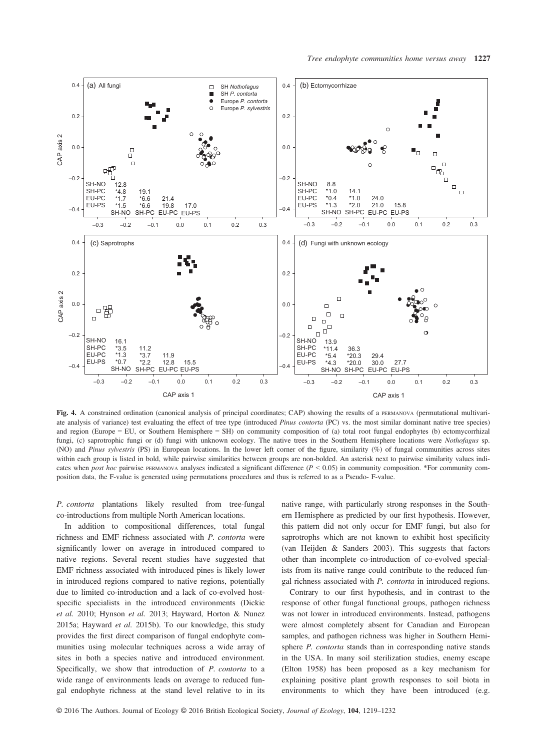

Fig. 4. A constrained ordination (canonical analysis of principal coordinates; CAP) showing the results of a PERMANOVA (permutational multivariate analysis of variance) test evaluating the effect of tree type (introduced Pinus contorta (PC) vs. the most similar dominant native tree species) and region (Europe = EU, or Southern Hemisphere = SH) on community composition of (a) total root fungal endophytes (b) ectomycorrhizal fungi, (c) saprotrophic fungi or (d) fungi with unknown ecology. The native trees in the Southern Hemisphere locations were Nothofagus sp. (NO) and Pinus sylvestris (PS) in European locations. In the lower left corner of the figure, similarity (%) of fungal communities across sites within each group is listed in bold, while pairwise similarities between groups are non-bolded. An asterisk next to pairwise similarity values indicates when post hoc pairwise PERMANOVA analyses indicated a significant difference  $(P < 0.05)$  in community composition. \*For community composition data, the F-value is generated using permutations procedures and thus is referred to as a Pseudo- F-value.

P. contorta plantations likely resulted from tree-fungal co-introductions from multiple North American locations.

In addition to compositional differences, total fungal richness and EMF richness associated with P. contorta were significantly lower on average in introduced compared to native regions. Several recent studies have suggested that EMF richness associated with introduced pines is likely lower in introduced regions compared to native regions, potentially due to limited co-introduction and a lack of co-evolved hostspecific specialists in the introduced environments (Dickie et al. 2010; Hynson et al. 2013; Hayward, Horton & Nunez 2015a; Hayward et al. 2015b). To our knowledge, this study provides the first direct comparison of fungal endophyte communities using molecular techniques across a wide array of sites in both a species native and introduced environment. Specifically, we show that introduction of P. contorta to a wide range of environments leads on average to reduced fungal endophyte richness at the stand level relative to in its native range, with particularly strong responses in the Southern Hemisphere as predicted by our first hypothesis. However, this pattern did not only occur for EMF fungi, but also for saprotrophs which are not known to exhibit host specificity (van Heijden & Sanders 2003). This suggests that factors other than incomplete co-introduction of co-evolved specialists from its native range could contribute to the reduced fungal richness associated with P. contorta in introduced regions.

Contrary to our first hypothesis, and in contrast to the response of other fungal functional groups, pathogen richness was not lower in introduced environments. Instead, pathogens were almost completely absent for Canadian and European samples, and pathogen richness was higher in Southern Hemisphere *P. contorta* stands than in corresponding native stands in the USA. In many soil sterilization studies, enemy escape (Elton 1958) has been proposed as a key mechanism for explaining positive plant growth responses to soil biota in environments to which they have been introduced (e.g.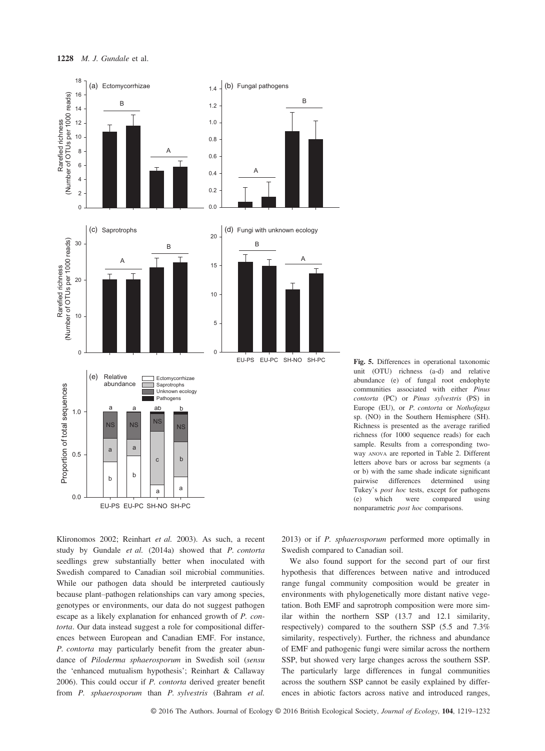

Fig. 5. Differences in operational taxonomic unit (OTU) richness (a-d) and relative abundance (e) of fungal root endophyte communities associated with either Pinus contorta (PC) or Pinus sylvestris (PS) in Europe (EU), or P. contorta or Nothofagus sp. (NO) in the Southern Hemisphere (SH). Richness is presented as the average rarified richness (for 1000 sequence reads) for each sample. Results from a corresponding twoway ANOVA are reported in Table 2. Different letters above bars or across bar segments (a or b) with the same shade indicate significant pairwise differences determined using Tukey's post hoc tests, except for pathogens (e) which were compared using nonparametric post hoc comparisons.

Klironomos 2002; Reinhart et al. 2003). As such, a recent study by Gundale et al. (2014a) showed that P. contorta seedlings grew substantially better when inoculated with Swedish compared to Canadian soil microbial communities. While our pathogen data should be interpreted cautiously because plant–pathogen relationships can vary among species, genotypes or environments, our data do not suggest pathogen escape as a likely explanation for enhanced growth of P. contorta. Our data instead suggest a role for compositional differences between European and Canadian EMF. For instance, P. contorta may particularly benefit from the greater abundance of Piloderma sphaerosporum in Swedish soil (sensu the 'enhanced mutualism hypothesis'; Reinhart & Callaway 2006). This could occur if P. contorta derived greater benefit from P. sphaerosporum than P. sylvestris (Bahram et al.

2013) or if P. sphaerosporum performed more optimally in Swedish compared to Canadian soil.

We also found support for the second part of our first hypothesis that differences between native and introduced range fungal community composition would be greater in environments with phylogenetically more distant native vegetation. Both EMF and saprotroph composition were more similar within the northern SSP (13.7 and 12.1 similarity, respectively) compared to the southern SSP (5.5 and 7.3% similarity, respectively). Further, the richness and abundance of EMF and pathogenic fungi were similar across the northern SSP, but showed very large changes across the southern SSP. The particularly large differences in fungal communities across the southern SSP cannot be easily explained by differences in abiotic factors across native and introduced ranges,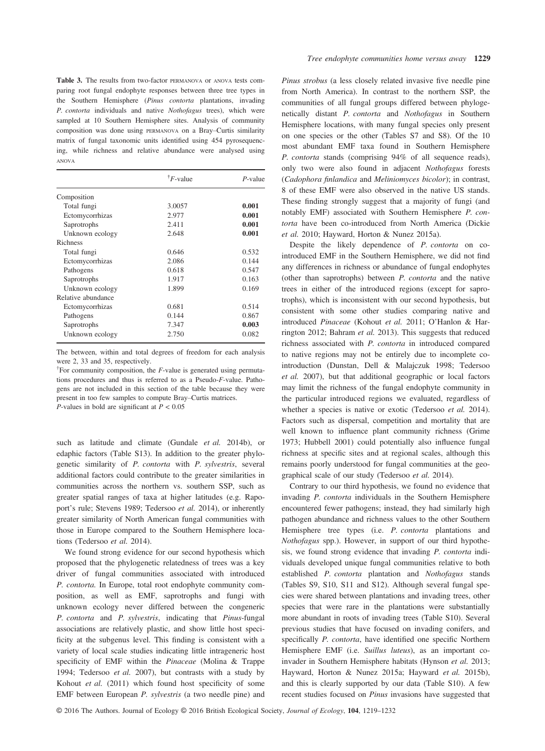Table 3. The results from two-factor PERMANOVA or ANOVA tests comparing root fungal endophyte responses between three tree types in the Southern Hemisphere (Pinus contorta plantations, invading P. contorta individuals and native Nothofagus trees), which were sampled at 10 Southern Hemisphere sites. Analysis of community composition was done using PERMANOVA on a Bray–Curtis similarity matrix of fungal taxonomic units identified using 454 pyrosequencing, while richness and relative abundance were analysed using ANOVA

|                    | $\dagger$ F-value | $P$ -value |
|--------------------|-------------------|------------|
| Composition        |                   |            |
| Total fungi        | 3.0057            | 0.001      |
| Ectomycorrhizas    | 2.977             | 0.001      |
| Saprotrophs        | 2.411             | 0.001      |
| Unknown ecology    | 2.648             | 0.001      |
| Richness           |                   |            |
| Total fungi        | 0.646             | 0.532      |
| Ectomycorrhizas    | 2.086             | 0.144      |
| Pathogens          | 0.618             | 0.547      |
| Saprotrophs        | 1.917             | 0.163      |
| Unknown ecology    | 1.899             | 0.169      |
| Relative abundance |                   |            |
| Ectomycorrhizas    | 0.681             | 0.514      |
| Pathogens          | 0.144             | 0.867      |
| Saprotrophs        | 7.347             | 0.003      |
| Unknown ecology    | 2.750             | 0.082      |

The between, within and total degrees of freedom for each analysis were 2, 33 and 35, respectively.

<sup>†</sup>For community composition, the F-value is generated using permutations procedures and thus is referred to as a Pseudo-F-value. Pathogens are not included in this section of the table because they were present in too few samples to compute Bray–Curtis matrices.

*P*-values in bold are significant at  $P < 0.05$ 

such as latitude and climate (Gundale et al. 2014b), or edaphic factors (Table S13). In addition to the greater phylogenetic similarity of P. contorta with P. sylvestris, several additional factors could contribute to the greater similarities in communities across the northern vs. southern SSP, such as greater spatial ranges of taxa at higher latitudes (e.g. Rapoport's rule; Stevens 1989; Tedersoo et al. 2014), or inherently greater similarity of North American fungal communities with those in Europe compared to the Southern Hemisphere locations (Tedersoo et al. 2014).

We found strong evidence for our second hypothesis which proposed that the phylogenetic relatedness of trees was a key driver of fungal communities associated with introduced P. contorta. In Europe, total root endophyte community composition, as well as EMF, saprotrophs and fungi with unknown ecology never differed between the congeneric P. contorta and P. sylvestris, indicating that Pinus-fungal associations are relatively plastic, and show little host specificity at the subgenus level. This finding is consistent with a variety of local scale studies indicating little intrageneric host specificity of EMF within the Pinaceae (Molina & Trappe 1994; Tedersoo et al. 2007), but contrasts with a study by Kohout et al. (2011) which found host specificity of some EMF between European P. sylvestris (a two needle pine) and Pinus strobus (a less closely related invasive five needle pine from North America). In contrast to the northern SSP, the communities of all fungal groups differed between phylogenetically distant P. contorta and Nothofagus in Southern Hemisphere locations, with many fungal species only present on one species or the other (Tables S7 and S8). Of the 10 most abundant EMF taxa found in Southern Hemisphere P. contorta stands (comprising 94% of all sequence reads), only two were also found in adjacent Nothofagus forests (Cadophora finlandica and Meliniomyces bicolor); in contrast, 8 of these EMF were also observed in the native US stands. These finding strongly suggest that a majority of fungi (and notably EMF) associated with Southern Hemisphere P. contorta have been co-introduced from North America (Dickie et al. 2010; Hayward, Horton & Nunez 2015a).

Despite the likely dependence of P. contorta on cointroduced EMF in the Southern Hemisphere, we did not find any differences in richness or abundance of fungal endophytes (other than saprotrophs) between P. contorta and the native trees in either of the introduced regions (except for saprotrophs), which is inconsistent with our second hypothesis, but consistent with some other studies comparing native and introduced Pinaceae (Kohout et al. 2011; O'Hanlon & Harrington 2012; Bahram et al. 2013). This suggests that reduced richness associated with P. contorta in introduced compared to native regions may not be entirely due to incomplete cointroduction (Dunstan, Dell & Malajczuk 1998; Tedersoo et al. 2007), but that additional geographic or local factors may limit the richness of the fungal endophyte community in the particular introduced regions we evaluated, regardless of whether a species is native or exotic (Tedersoo et al. 2014). Factors such as dispersal, competition and mortality that are well known to influence plant community richness (Grime 1973; Hubbell 2001) could potentially also influence fungal richness at specific sites and at regional scales, although this remains poorly understood for fungal communities at the geographical scale of our study (Tedersoo et al. 2014).

Contrary to our third hypothesis, we found no evidence that invading P. contorta individuals in the Southern Hemisphere encountered fewer pathogens; instead, they had similarly high pathogen abundance and richness values to the other Southern Hemisphere tree types (i.e. *P. contorta* plantations and Nothofagus spp.). However, in support of our third hypothesis, we found strong evidence that invading P. contorta individuals developed unique fungal communities relative to both established P. contorta plantation and Nothofagus stands (Tables S9, S10, S11 and S12). Although several fungal species were shared between plantations and invading trees, other species that were rare in the plantations were substantially more abundant in roots of invading trees (Table S10). Several previous studies that have focused on invading conifers, and specifically P. contorta, have identified one specific Northern Hemisphere EMF (i.e. Suillus luteus), as an important coinvader in Southern Hemisphere habitats (Hynson et al. 2013; Hayward, Horton & Nunez 2015a; Hayward et al. 2015b), and this is clearly supported by our data (Table S10). A few recent studies focused on Pinus invasions have suggested that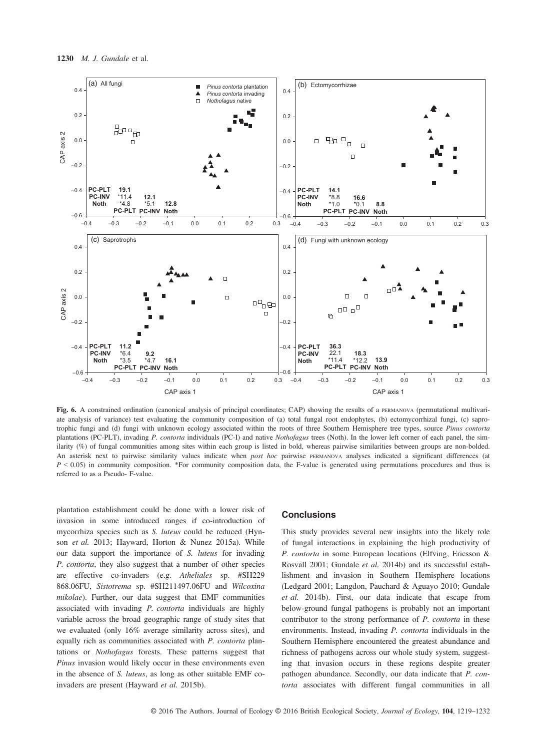

Fig. 6. A constrained ordination (canonical analysis of principal coordinates; CAP) showing the results of a PERMANOVA (permutational multivariate analysis of variance) test evaluating the community composition of (a) total fungal root endophytes, (b) ectomycorrhizal fungi, (c) saprotrophic fungi and (d) fungi with unknown ecology associated within the roots of three Southern Hemisphere tree types, source Pinus contorta plantations (PC-PLT), invading P. contorta individuals (PC-I) and native Nothofagus trees (Noth). In the lower left corner of each panel, the similarity (%) of fungal communities among sites within each group is listed in bold, whereas pairwise similarities between groups are non-bolded. An asterisk next to pairwise similarity values indicate when post hoc pairwise PERMANOVA analyses indicated a significant differences (at  $P < 0.05$ ) in community composition. \*For community composition data, the F-value is generated using permutations procedures and thus is referred to as a Pseudo- F-value.

plantation establishment could be done with a lower risk of invasion in some introduced ranges if co-introduction of mycorrhiza species such as S. luteus could be reduced (Hynson et al. 2013; Hayward, Horton & Nunez 2015a). While our data support the importance of S. luteus for invading P. contorta, they also suggest that a number of other species are effective co-invaders (e.g. Atheliales sp. #SH229 868.06FU, Sistotrema sp. #SH211497.06FU and Wilcoxina mikolae). Further, our data suggest that EMF communities associated with invading P. contorta individuals are highly variable across the broad geographic range of study sites that we evaluated (only 16% average similarity across sites), and equally rich as communities associated with P. contorta plantations or Nothofagus forests. These patterns suggest that Pinus invasion would likely occur in these environments even in the absence of S. luteus, as long as other suitable EMF coinvaders are present (Hayward et al. 2015b).

#### **Conclusions**

This study provides several new insights into the likely role of fungal interactions in explaining the high productivity of P. contorta in some European locations (Elfving, Ericsson & Rosvall 2001; Gundale et al. 2014b) and its successful establishment and invasion in Southern Hemisphere locations (Ledgard 2001; Langdon, Pauchard & Aguayo 2010; Gundale et al. 2014b). First, our data indicate that escape from below-ground fungal pathogens is probably not an important contributor to the strong performance of P. contorta in these environments. Instead, invading P. contorta individuals in the Southern Hemisphere encountered the greatest abundance and richness of pathogens across our whole study system, suggesting that invasion occurs in these regions despite greater pathogen abundance. Secondly, our data indicate that P. contorta associates with different fungal communities in all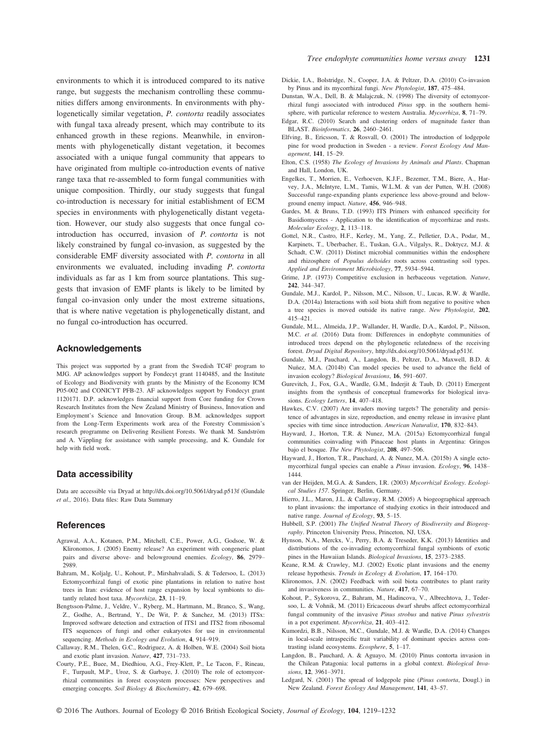environments to which it is introduced compared to its native range, but suggests the mechanism controlling these communities differs among environments. In environments with phylogenetically similar vegetation, P. contorta readily associates with fungal taxa already present, which may contribute to its enhanced growth in these regions. Meanwhile, in environments with phylogenetically distant vegetation, it becomes associated with a unique fungal community that appears to have originated from multiple co-introduction events of native range taxa that re-assembled to form fungal communities with unique composition. Thirdly, our study suggests that fungal co-introduction is necessary for initial establishment of ECM species in environments with phylogenetically distant vegetation. However, our study also suggests that once fungal cointroduction has occurred, invasion of P. contorta is not likely constrained by fungal co-invasion, as suggested by the considerable EMF diversity associated with P. contorta in all environments we evaluated, including invading P. contorta individuals as far as 1 km from source plantations. This suggests that invasion of EMF plants is likely to be limited by fungal co-invasion only under the most extreme situations, that is where native vegetation is phylogenetically distant, and no fungal co-introduction has occurred.

## Acknowledgements

This project was supported by a grant from the Swedish TC4F program to MJG. AP acknowledges support by Fondecyt grant 1140485, and the Institute of Ecology and Biodiversity with grants by the Ministry of the Economy ICM P05-002 and CONICYT PFB-23. AF acknowledges support by Fondecyt grant 1120171. D.P. acknowledges financial support from Core funding for Crown Research Institutes from the New Zealand Ministry of Business, Innovation and Employment's Science and Innovation Group. B.M. acknowledges support from the Long-Term Experiments work area of the Forestry Commission's research programme on Delivering Resilient Forests. We thank M. Sandström and A. Väppling for assistance with sample processing, and K. Gundale for help with field work.

## Data accessibility

Data are accessible via Dryad at<http://dx.doi.org/10.5061/dryad.p513f> (Gundale et al., 2016). Data files: Raw Data Summary

#### **References**

- Agrawal, A.A., Kotanen, P.M., Mitchell, C.E., Power, A.G., Godsoe, W. & Klironomos, J. (2005) Enemy release? An experiment with congeneric plant pairs and diverse above- and belowground enemies. Ecology, 86, 2979– 2989.
- Bahram, M., Koljalg, U., Kohout, P., Mirshahvaladi, S. & Tedersoo, L. (2013) Ectomycorrhizal fungi of exotic pine plantations in relation to native host trees in Iran: evidence of host range expansion by local symbionts to distantly related host taxa. Mycorrhiza, 23, 11–19.
- Bengtsson-Palme, J., Veldre, V., Ryberg, M., Hartmann, M., Branco, S., Wang, Z., Godhe, A., Bertrand, Y., De Wit, P. & Sanchez, M. (2013) ITSx: Improved software detection and extraction of ITS1 and ITS2 from ribosomal ITS sequences of fungi and other eukaryotes for use in environmental sequencing. Methods in Ecology and Evolution, 4, 914–919.
- Callaway, R.M., Thelen, G.C., Rodriguez, A. & Holben, W.E. (2004) Soil biota and exotic plant invasion. Nature, 427, 731–733.
- Courty, P.E., Buee, M., Diedhiou, A.G., Frey-Klett, P., Le Tacon, F., Rineau, F., Turpault, M.P., Uroz, S. & Garbaye, J. (2010) The role of ectomycorrhizal communities in forest ecosystem processes: New perspectives and emerging concepts. Soil Biology & Biochemistry, 42, 679–698.
- Dickie, I.A., Bolstridge, N., Cooper, J.A. & Peltzer, D.A. (2010) Co-invasion by Pinus and its mycorrhizal fungi. New Phytologist, 187, 475–484.
- Dunstan, W.A., Dell, B. & Malajczuk, N. (1998) The diversity of ectomycorrhizal fungi associated with introduced Pinus spp. in the southern hemisphere, with particular reference to western Australia. Mycorrhiza, 8, 71–79.
- Edgar, R.C. (2010) Search and clustering orders of magnitude faster than BLAST. Bioinformatics, 26, 2460–2461.
- Elfving, B., Ericsson, T. & Rosvall, O. (2001) The introduction of lodgepole pine for wood production in Sweden - a review. Forest Ecology And Management, 141, 15–29.
- Elton, C.S. (1958) The Ecology of Invasions by Animals and Plants. Chapman and Hall, London, UK.
- Engelkes, T., Morrien, E., Verhoeven, K.J.F., Bezemer, T.M., Biere, A., Harvey, J.A., McIntyre, L.M., Tamis, W.L.M. & van der Putten, W.H. (2008) Successful range-expanding plants experience less above-ground and belowground enemy impact. Nature, 456, 946–948.
- Gardes, M. & Bruns, T.D. (1993) ITS Primers with enhanced specificity for Basidiomycetes - Application to the identification of mycorrhizae and rusts. Molecular Ecology, 2, 113–118.
- Gottel, N.R., Castro, H.F., Kerley, M., Yang, Z., Pelletier, D.A., Podar, M., Karpinets, T., Uberbacher, E., Tuskan, G.A., Vilgalys, R., Doktycz, M.J. & Schadt, C.W. (2011) Distinct microbial communities within the endosphere and rhizosphere of Populus deltoides roots across contrasting soil types. Applied and Environment Microbiology, 77, 5934–5944.
- Grime, J.P. (1973) Competitive exclusion in herbaceous vegetation. Nature, 242, 344–347.
- Gundale, M.J., Kardol, P., Nilsson, M.C., Nilsson, U., Lucas, R.W. & Wardle, D.A. (2014a) Interactions with soil biota shift from negative to positive when a tree species is moved outside its native range. New Phytologist, 202, 415–421.
- Gundale, M.L., Almeida, J.P., Wallander, H, Wardle, D.A., Kardol, P., Nilsson, M.C. et al. (2016) Data from: Differences in endophyte communities of introduced trees depend on the phylogenetic relatedness of the receiving forest. Dryad Digital Repository, [http://dx.doi.org/10.5061/dryad.p513f.](http://dx.doi.org/10.5061/dryad.p513f)
- Gundale, M.J., Pauchard, A., Langdon, B., Peltzer, D.A., Maxwell, B.D. & Nuñez, M.A. (2014b) Can model species be used to advance the field of invasion ecology? Biological Invasions, 16, 591–607.
- Gurevitch, J., Fox, G.A., Wardle, G.M., Inderjit & Taub, D. (2011) Emergent insights from the synthesis of conceptual frameworks for biological invasions. Ecology Letters, 14, 407–418.
- Hawkes, C.V. (2007) Are invaders moving targets? The generality and persistence of advantages in size, reproduction, and enemy release in invasive plant species with time since introduction. American Naturalist, 170, 832-843.
- Hayward, J., Horton, T.R. & Nunez, M.A. (2015a) Ectomycorrhizal fungal communities coinvading with Pinaceae host plants in Argentina: Gringos bajo el bosque. The New Phytologist, 208, 497–506.
- Hayward, J., Horton, T.R., Pauchard, A. & Nunez, M.A. (2015b) A single ectomycorrhizal fungal species can enable a Pinus invasion. Ecology, 96, 1438– 1444.
- van der Heijden, M.G.A. & Sanders, I.R. (2003) Mycorrhizal Ecology. Ecological Studies 157. Springer, Berlin, Germany.
- Hierro, J.L., Maron, J.L. & Callaway, R.M. (2005) A biogeographical approach to plant invasions: the importance of studying exotics in their introduced and native range. Journal of Ecology, 93, 5-15.
- Hubbell, S.P. (2001) The Unified Neutral Theory of Biodiversity and Biogeography. Princeton University Press, Princeton, NJ, USA.
- Hynson, N.A., Merckx, V., Perry, B.A. & Treseder, K.K. (2013) Identities and distributions of the co-invading ectomycorrhizal fungal symbionts of exotic pines in the Hawaiian Islands. Biological Invasions, 15, 2373–2385.
- Keane, R.M. & Crawley, M.J. (2002) Exotic plant invasions and the enemy release hypothesis. Trends in Ecology & Evolution, 17, 164–170.
- Klironomos, J.N. (2002) Feedback with soil biota contributes to plant rarity and invasiveness in communities. Nature, 417, 67–70.
- Kohout, P., Sykorova, Z., Bahram, M., Hadincova, V., Albrechtova, J., Tedersoo, L. & Vohnik, M. (2011) Ericaceous dwarf shrubs affect ectomycorrhizal fungal community of the invasive Pinus strobus and native Pinus sylvestris in a pot experiment. Mycorrhiza, 21, 403–412.
- Kumordzi, B.B., Nilsson, M.C., Gundale, M.J. & Wardle, D.A. (2014) Changes in local-scale intraspecific trait variability of dominant species across contrasting island ecosystems. Ecosphere, 5, 1–17.
- Langdon, B., Pauchard, A. & Aguayo, M. (2010) Pinus contorta invasion in the Chilean Patagonia: local patterns in a global context. Biological Invasions, 12, 3961–3971.
- Ledgard, N. (2001) The spread of lodgepole pine (Pinus contorta, Dougl.) in New Zealand. Forest Ecology And Management, 141, 43–57.